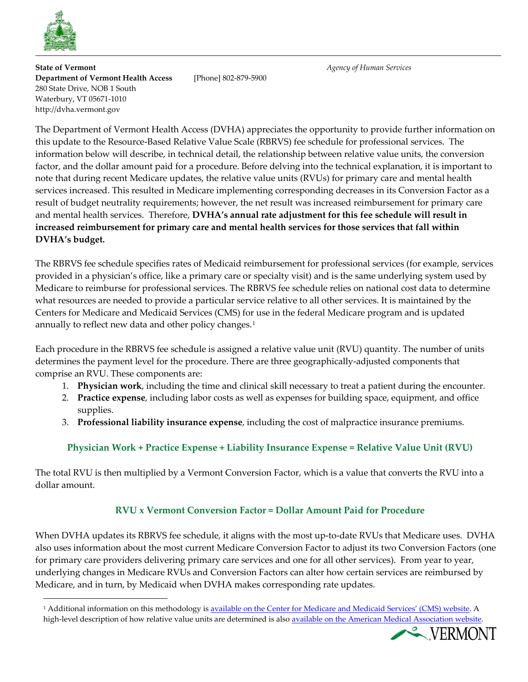

**State of Vermont** *Agency of Human Services* **Department of Vermont Health Access** [Phone] 802-879-5900 280 State Drive, NOB 1 South Waterbury, VT 05671-1010 http://dvha.vermont.gov

The Department of Vermont Health Access (DVHA) appreciates the opportunity to provide further information on this update to the Resource-Based Relative Value Scale (RBRVS) fee schedule for professional services. The information below will describe, in technical detail, the relationship between relative value units, the conversion factor, and the dollar amount paid for a procedure. Before delving into the technical explanation, it is important to note that during recent Medicare updates, the relative value units (RVUs) for primary care and mental health services increased. This resulted in Medicare implementing corresponding decreases in its Conversion Factor as a result of budget neutrality requirements; however, the net result was increased reimbursement for primary care and mental health services. Therefore, **DVHA's annual rate adjustment for this fee schedule will result in increased reimbursement for primary care and mental health services for those services that fall within DVHA's budget.** 

The RBRVS fee schedule specifies rates of Medicaid reimbursement for professional services (for example, services provided in a physician's office, like a primary care or specialty visit) and is the same underlying system used by Medicare to reimburse for professional services. The RBRVS fee schedule relies on national cost data to determine what resources are needed to provide a particular service relative to all other services. It is maintained by the Centers for Medicare and Medicaid Services (CMS) for use in the federal Medicare program and is updated annually to reflect new data and other policy changes.<sup>[1](#page-0-0)</sup>

Each procedure in the RBRVS fee schedule is assigned a relative value unit (RVU) quantity. The number of units determines the payment level for the procedure. There are three geographically-adjusted components that comprise an RVU. These components are:

- 1. **Physician work**, including the time and clinical skill necessary to treat a patient during the encounter.
- 2. **Practice expense**, including labor costs as well as expenses for building space, equipment, and office supplies.
- 3. **Professional liability insurance expense**, including the cost of malpractice insurance premiums.

## **Physician Work + Practice Expense + Liability Insurance Expense = Relative Value Unit (RVU)**

The total RVU is then multiplied by a Vermont Conversion Factor, which is a value that converts the RVU into a dollar amount.

## **RVU x Vermont Conversion Factor = Dollar Amount Paid for Procedure**

When DVHA updates its RBRVS fee schedule, it aligns with the most up-to-date RVUs that Medicare uses. DVHA also uses information about the most current Medicare Conversion Factor to adjust its two Conversion Factors (one for primary care providers delivering primary care services and one for all other services). From year to year, underlying changes in Medicare RVUs and Conversion Factors can alter how certain services are reimbursed by Medicare, and in turn, by Medicaid when DVHA makes corresponding rate updates.

<span id="page-0-0"></span><sup>1</sup> Additional information on this methodology i[s available on the Center for Medicare and Medicaid Services' \(CMS\) website.](https://www.cms.gov/Medicare/Medicare-Fee-for-Service-Payment/PhysicianFeeSched/index.html) A high-level description of how relative value units are determined is also available on the American Medical Association website.

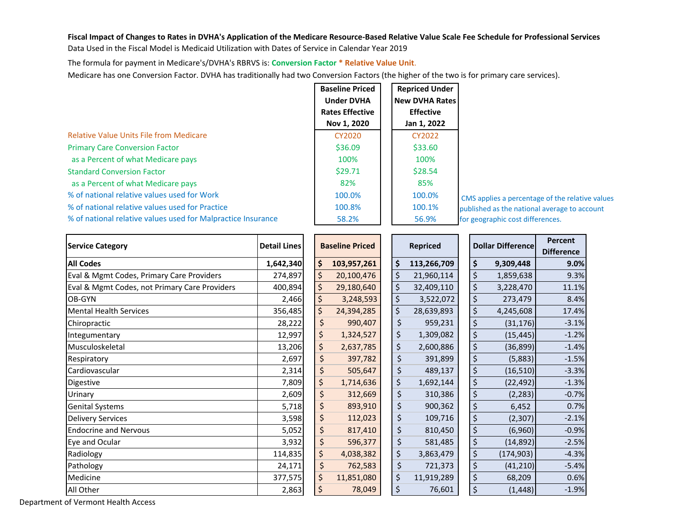## **Fiscal Impact of Changes to Rates in DVHA's Application of the Medicare Resource-Based Relative Value Scale Fee Schedule for Professional Services**

Data Used in the Fiscal Model is Medicaid Utilization with Dates of Service in Calendar Year 2019

The formula for payment in Medicare's/DVHA's RBRVS is: **Conversion Factor \* Relative Value Unit**.

Medicare has one Conversion Factor. DVHA has traditionally had two Conversion Factors (the higher of the two is for primary care services).

|                                                              | <b>Baseline Priced</b> | <b>Repriced Under</b> |
|--------------------------------------------------------------|------------------------|-----------------------|
|                                                              | <b>Under DVHA</b>      | <b>New DVHA Rates</b> |
|                                                              | <b>Rates Effective</b> | <b>Effective</b>      |
|                                                              | Nov 1, 2020            | Jan 1, 2022           |
| <b>Relative Value Units File from Medicare</b>               | CY2020                 | CY2022                |
| <b>Primary Care Conversion Factor</b>                        | \$36.09                | \$33.60               |
| as a Percent of what Medicare pays                           | 100%                   | 100%                  |
| <b>Standard Conversion Factor</b>                            | \$29.71                | \$28.54               |
| as a Percent of what Medicare pays                           | 82%                    | 85%                   |
| % of national relative values used for Work                  | 100.0%                 | 100.0%                |
| % of national relative values used for Practice              | 100.8%                 | 100.1%                |
| % of national relative values used for Malpractice Insurance | 58.2%                  | 56.9%                 |

 CMS applies a percentage of the relative values published as the national average to account for geographic cost differences.

| <b>Service Category</b>                       | <b>Detail Lines</b> | <b>Baseline Priced</b> |    | <b>Repriced</b> | <b>Dollar Difference</b> |            | Percent<br><b>Difference</b> |
|-----------------------------------------------|---------------------|------------------------|----|-----------------|--------------------------|------------|------------------------------|
| <b>All Codes</b>                              | 1,642,340           | \$<br>103,957,261      | \$ | 113,266,709     | \$                       | 9,309,448  | 9.0%                         |
| Eval & Mgmt Codes, Primary Care Providers     | 274,897             | \$<br>20,100,476       | \$ | 21,960,114      | \$                       | 1,859,638  | 9.3%                         |
| Eval & Mgmt Codes, not Primary Care Providers | 400,894             | \$<br>29,180,640       | \$ | 32,409,110      | \$                       | 3,228,470  | 11.1%                        |
| OB-GYN                                        | 2,466               | \$<br>3,248,593        | \$ | 3,522,072       | \$                       | 273,479    | 8.4%                         |
| <b>Mental Health Services</b>                 | 356,485             | \$<br>24,394,285       | \$ | 28,639,893      | \$                       | 4,245,608  | 17.4%                        |
| Chiropractic                                  | 28,222              | \$<br>990,407          | \$ | 959,231         | \$                       | (31, 176)  | $-3.1%$                      |
| Integumentary                                 | 12,997              | \$<br>1,324,527        | \$ | 1,309,082       | \$                       | (15, 445)  | $-1.2%$                      |
| Musculoskeletal                               | 13,206              | \$<br>2,637,785        | \$ | 2,600,886       | \$                       | (36, 899)  | $-1.4%$                      |
| Respiratory                                   | 2,697               | \$<br>397,782          | \$ | 391,899         | \$                       | (5,883)    | $-1.5%$                      |
| Cardiovascular                                | 2,314               | \$<br>505,647          | \$ | 489,137         | \$                       | (16, 510)  | $-3.3%$                      |
| Digestive                                     | 7,809               | \$<br>1,714,636        | \$ | 1,692,144       | \$                       | (22, 492)  | $-1.3%$                      |
| Urinary                                       | 2,609               | \$<br>312,669          | \$ | 310,386         | \$                       | (2, 283)   | $-0.7%$                      |
| <b>Genital Systems</b>                        | 5,718               | \$<br>893,910          | \$ | 900,362         | \$                       | 6,452      | 0.7%                         |
| <b>Delivery Services</b>                      | 3,598               | \$<br>112,023          | \$ | 109,716         | \$                       | (2,307)    | $-2.1%$                      |
| <b>Endocrine and Nervous</b>                  | 5,052               | \$<br>817,410          | \$ | 810,450         | \$                       | (6,960)    | $-0.9%$                      |
| Eye and Ocular                                | 3,932               | \$<br>596,377          | \$ | 581,485         | \$                       | (14, 892)  | $-2.5%$                      |
| Radiology                                     | 114,835             | \$<br>4,038,382        | \$ | 3,863,479       | \$                       | (174, 903) | $-4.3%$                      |
| Pathology                                     | 24,171              | \$<br>762,583          | \$ | 721,373         | \$                       | (41, 210)  | $-5.4%$                      |
| Medicine                                      | 377,575             | \$<br>11,851,080       | \$ | 11,919,289      | \$                       | 68,209     | 0.6%                         |
| All Other                                     | 2,863               | \$<br>78,049           | \$ | 76,601          | \$                       | (1, 448)   | $-1.9%$                      |

Department of Vermont Health Access